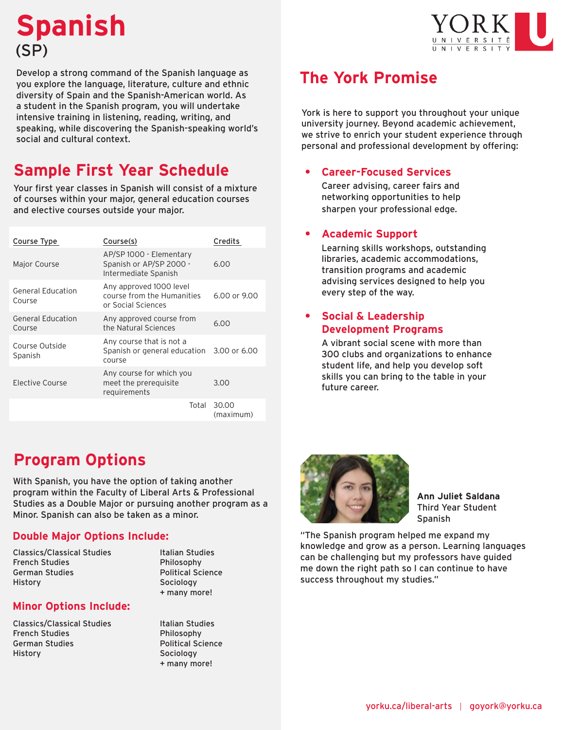# **Spanish** (SP)



Develop a strong command of the Spanish language as you explore the language, literature, culture and ethnic diversity of Spain and the Spanish-American world. As a student in the Spanish program, you will undertake intensive training in listening, reading, writing, and speaking, while discovering the Spanish-speaking world's social and cultural context.

## **Sample First Year Schedule**

Your first year classes in Spanish will consist of a mixture of courses within your major, general education courses and elective courses outside your major.

| Course Type                        | Course(s)                                                                       | Credits            |
|------------------------------------|---------------------------------------------------------------------------------|--------------------|
| Major Course                       | AP/SP 1000 - Elementary<br>Spanish or AP/SP 2000 -<br>Intermediate Spanish      | 6.00               |
| <b>General Education</b><br>Course | Any approved 1000 level<br>course from the Humanities<br>or Social Sciences     | 6.00 or 9.00       |
| <b>General Education</b><br>Course | Any approved course from<br>the Natural Sciences                                | 6.00               |
| Course Outside<br>Spanish          | Any course that is not a<br>Spanish or general education 3.00 or 6.00<br>course |                    |
| Elective Course                    | Any course for which you<br>meet the prerequisite<br>requirements               | 3.00               |
|                                    | Total                                                                           | 30.00<br>(maximum) |

## **The York Promise**

York is here to support you throughout your unique university journey. Beyond academic achievement, we strive to enrich your student experience through personal and professional development by offering:

#### **• Career-Focused Services**

Career advising, career fairs and networking opportunities to help sharpen your professional edge.

#### **• Academic Support**

Learning skills workshops, outstanding libraries, academic accommodations, transition programs and academic advising services designed to help you every step of the way.

#### **• Social & Leadership Development Programs**

A vibrant social scene with more than 300 clubs and organizations to enhance student life, and help you develop soft skills you can bring to the table in your future career.

### **Program Options**

With Spanish, you have the option of taking another program within the Faculty of Liberal Arts & Professional Studies as a Double Major or pursuing another program as a Minor. Spanish can also be taken as a minor.

#### **Double Major Options Include:**

Classics/Classical Studies French Studies German Studies History

Italian Studies Philosophy Political Science Sociology + many more!

#### **Minor Options Include:**

Classics/Classical Studies French Studies German Studies History

Italian Studies Philosophy Political Science Sociology

+ many more!



**Ann Juliet Saldana** Third Year Student Spanish

"The Spanish program helped me expand my knowledge and grow as a person. Learning languages can be challenging but my professors have guided me down the right path so I can continue to have success throughout my studies."